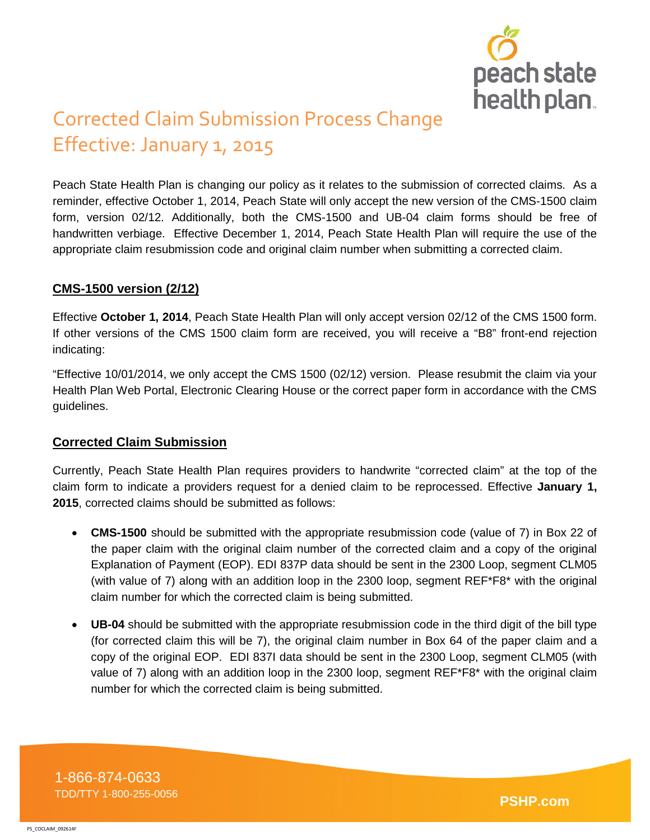

# Corrected Claim Submission Process Change Effective: January 1, 2015

Peach State Health Plan is changing our policy as it relates to the submission of corrected claims. As a reminder, effective October 1, 2014, Peach State will only accept the new version of the CMS-1500 claim form, version 02/12. Additionally, both the CMS-1500 and UB-04 claim forms should be free of handwritten verbiage. Effective December 1, 2014, Peach State Health Plan will require the use of the appropriate claim resubmission code and original claim number when submitting a corrected claim.

## **CMS-1500 version (2/12)**

Effective **October 1, 2014**, Peach State Health Plan will only accept version 02/12 of the CMS 1500 form. If other versions of the CMS 1500 claim form are received, you will receive a "B8" front-end rejection indicating:

"Effective 10/01/2014, we only accept the CMS 1500 (02/12) version. Please resubmit the claim via your Health Plan Web Portal, Electronic Clearing House or the correct paper form in accordance with the CMS guidelines.

## **Corrected Claim Submission**

Currently, Peach State Health Plan requires providers to handwrite "corrected claim" at the top of the claim form to indicate a providers request for a denied claim to be reprocessed. Effective **January 1, 2015**, corrected claims should be submitted as follows:

- **CMS-1500** should be submitted with the appropriate resubmission code (value of 7) in Box 22 of the paper claim with the original claim number of the corrected claim and a copy of the original Explanation of Payment (EOP). EDI 837P data should be sent in the 2300 Loop, segment CLM05 (with value of 7) along with an addition loop in the 2300 loop, segment REF\*F8\* with the original claim number for which the corrected claim is being submitted.
- **UB-04** should be submitted with the appropriate resubmission code in the third digit of the bill type (for corrected claim this will be 7), the original claim number in Box 64 of the paper claim and a copy of the original EOP. EDI 837I data should be sent in the 2300 Loop, segment CLM05 (with value of 7) along with an addition loop in the 2300 loop, segment REF\*F8\* with the original claim number for which the corrected claim is being submitted.